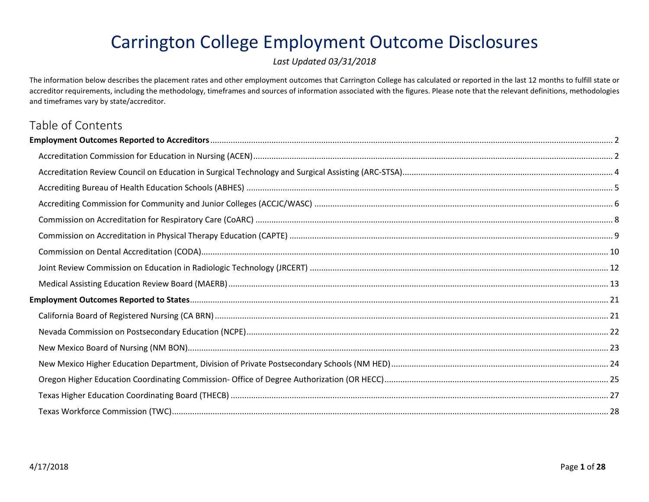# Carrington College Employment Outcome Disclosures

*Last Updated 03/31/2018*

The information below describes the placement rates and other employment outcomes that Carrington College has calculated or reported in the last 12 months to fulfill state or accreditor requirements, including the methodology, timeframes and sources of information associated with the figures. Please note that the relevant definitions, methodologies and timeframes vary by state/accreditor.

## Table of Contents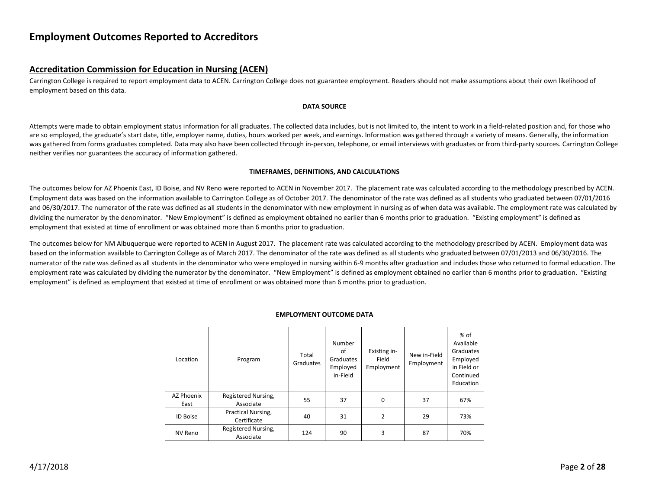## <span id="page-1-0"></span>**Employment Outcomes Reported to Accreditors**

## <span id="page-1-1"></span>**Accreditation Commission for Education in Nursing (ACEN)**

Carrington College is required to report employment data to ACEN. Carrington College does not guarantee employment. Readers should not make assumptions about their own likelihood of employment based on this data.

#### **DATA SOURCE**

Attempts were made to obtain employment status information for all graduates. The collected data includes, but is not limited to, the intent to work in a field-related position and, for those who are so employed, the graduate's start date, title, employer name, duties, hours worked per week, and earnings. Information was gathered through a variety of means. Generally, the information was gathered from forms graduates completed. Data may also have been collected through in-person, telephone, or email interviews with graduates or from third-party sources. Carrington College neither verifies nor guarantees the accuracy of information gathered.

#### **TIMEFRAMES, DEFINITIONS, AND CALCULATIONS**

The outcomes below for AZ Phoenix East, ID Boise, and NV Reno were reported to ACEN in November 2017. The placement rate was calculated according to the methodology prescribed by ACEN. Employment data was based on the information available to Carrington College as of October 2017. The denominator of the rate was defined as all students who graduated between 07/01/2016 and 06/30/2017. The numerator of the rate was defined as all students in the denominator with new employment in nursing as of when data was available. The employment rate was calculated by dividing the numerator by the denominator. "New Employment" is defined as employment obtained no earlier than 6 months prior to graduation. "Existing employment" is defined as employment that existed at time of enrollment or was obtained more than 6 months prior to graduation.

The outcomes below for NM Albuquerque were reported to ACEN in August 2017. The placement rate was calculated according to the methodology prescribed by ACEN. Employment data was based on the information available to Carrington College as of March 2017. The denominator of the rate was defined as all students who graduated between 07/01/2013 and 06/30/2016. The numerator of the rate was defined as all students in the denominator who were employed in nursing within 6-9 months after graduation and includes those who returned to formal education. The employment rate was calculated by dividing the numerator by the denominator. "New Employment" is defined as employment obtained no earlier than 6 months prior to graduation. "Existing employment" is defined as employment that existed at time of enrollment or was obtained more than 6 months prior to graduation.

| Location           | Program                           | Total<br>Graduates | Number<br>of<br>Graduates<br>Employed<br>in-Field | Existing in-<br>Field<br>Employment | New in-Field<br>Employment | % of<br>Available<br>Graduates<br>Employed<br>in Field or<br>Continued<br>Education |
|--------------------|-----------------------------------|--------------------|---------------------------------------------------|-------------------------------------|----------------------------|-------------------------------------------------------------------------------------|
| AZ Phoenix<br>East | Registered Nursing,<br>Associate  | 55                 | 37                                                | 0                                   | 37                         | 67%                                                                                 |
| <b>ID Boise</b>    | Practical Nursing,<br>Certificate | 40                 | 31                                                | $\overline{2}$                      | 29                         | 73%                                                                                 |
| NV Reno            | Registered Nursing,<br>Associate  | 124                | 90                                                | 3                                   | 87                         | 70%                                                                                 |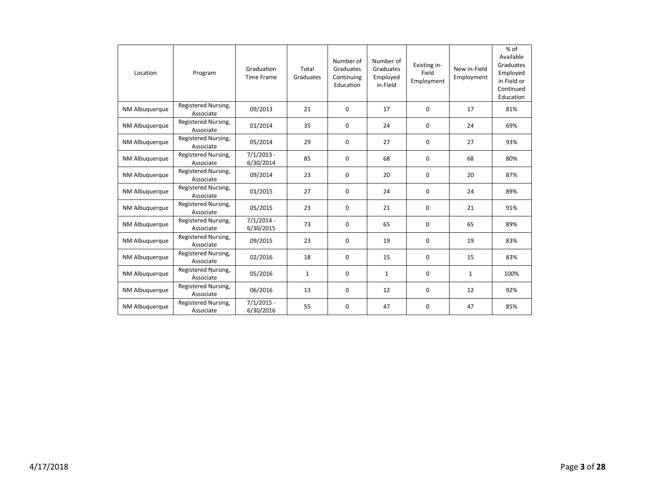| Location       | Program                          | Graduation<br><b>Time Frame</b> | Total<br>Graduates | Number of<br>Graduates<br>Continuing<br>Education | Number of<br>Graduates<br>Employed<br>in-Field | Existing in-<br>Field<br>Employment | New in-Field<br>Employment | $%$ of<br>Available<br>Graduates<br>Employed<br>in Field or<br>Continued<br>Education |
|----------------|----------------------------------|---------------------------------|--------------------|---------------------------------------------------|------------------------------------------------|-------------------------------------|----------------------------|---------------------------------------------------------------------------------------|
| NM Albuquerque | Registered Nursing,<br>Associate | 09/2013                         | 21                 | $\Omega$                                          | 17                                             | $\Omega$                            | 17                         | 81%                                                                                   |
| NM Albuquerque | Registered Nursing,<br>Associate | 01/2014                         | 35                 | 0                                                 | 24                                             | 0                                   | 24                         | 69%                                                                                   |
| NM Albuquerque | Registered Nursing,<br>Associate | 05/2014                         | 29                 | 0                                                 | 27                                             | 0                                   | 27                         | 93%                                                                                   |
| NM Albuquerque | Registered Nursing,<br>Associate | $7/1/2013 -$<br>6/30/2014       | 85                 | $\Omega$                                          | 68                                             | 0                                   | 68                         | 80%                                                                                   |
| NM Albuquerque | Registered Nursing,<br>Associate | 09/2014                         | 23                 | 0                                                 | 20                                             | 0                                   | 20                         | 87%                                                                                   |
| NM Albuquerque | Registered Nursing,<br>Associate | 01/2015                         | 27                 | $\mathbf 0$                                       | 24                                             | 0                                   | 24                         | 89%                                                                                   |
| NM Albuquerque | Registered Nursing,<br>Associate | 05/2015                         | 23                 | 0                                                 | 21                                             | 0                                   | 21                         | 91%                                                                                   |
| NM Albuquerque | Registered Nursing,<br>Associate | $7/1/2014 -$<br>6/30/2015       | 73                 | 0                                                 | 65                                             | 0                                   | 65                         | 89%                                                                                   |
| NM Albuquerque | Registered Nursing,<br>Associate | 09/2015                         | 23                 | $\Omega$                                          | 19                                             | 0                                   | 19                         | 83%                                                                                   |
| NM Albuquerque | Registered Nursing,<br>Associate | 02/2016                         | 18                 | 0                                                 | 15                                             | 0                                   | 15                         | 83%                                                                                   |
| NM Albuquerque | Registered Nursing,<br>Associate | 05/2016                         | $\mathbf{1}$       | 0                                                 | $\mathbf{1}$                                   | 0                                   | $\mathbf{1}$               | 100%                                                                                  |
| NM Albuquerque | Registered Nursing,<br>Associate | 06/2016                         | 13                 | 0                                                 | 12                                             | 0                                   | 12                         | 92%                                                                                   |
| NM Albuquerque | Registered Nursing,<br>Associate | $7/1/2015 -$<br>6/30/2016       | 55                 | 0                                                 | 47                                             | 0                                   | 47                         | 85%                                                                                   |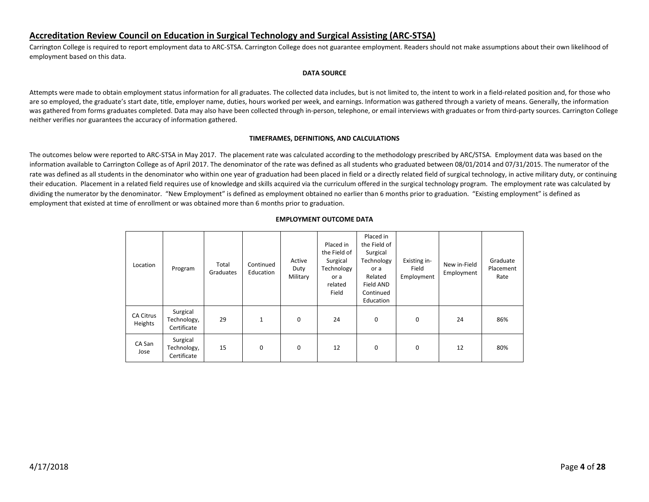## <span id="page-3-0"></span>**Accreditation Review Council on Education in Surgical Technology and Surgical Assisting (ARC-STSA)**

Carrington College is required to report employment data to ARC-STSA. Carrington College does not guarantee employment. Readers should not make assumptions about their own likelihood of employment based on this data.

#### **DATA SOURCE**

Attempts were made to obtain employment status information for all graduates. The collected data includes, but is not limited to, the intent to work in a field-related position and, for those who are so employed, the graduate's start date, title, employer name, duties, hours worked per week, and earnings. Information was gathered through a variety of means. Generally, the information was gathered from forms graduates completed. Data may also have been collected through in-person, telephone, or email interviews with graduates or from third-party sources. Carrington College neither verifies nor guarantees the accuracy of information gathered.

#### **TIMEFRAMES, DEFINITIONS, AND CALCULATIONS**

The outcomes below were reported to ARC-STSA in May 2017. The placement rate was calculated according to the methodology prescribed by ARC/STSA. Employment data was based on the information available to Carrington College as of April 2017. The denominator of the rate was defined as all students who graduated between 08/01/2014 and 07/31/2015. The numerator of the rate was defined as all students in the denominator who within one year of graduation had been placed in field or a directly related field of surgical technology, in active military duty, or continuing their education. Placement in a related field requires use of knowledge and skills acquired via the curriculum offered in the surgical technology program. The employment rate was calculated by dividing the numerator by the denominator. "New Employment" is defined as employment obtained no earlier than 6 months prior to graduation. "Existing employment" is defined as employment that existed at time of enrollment or was obtained more than 6 months prior to graduation.

| Location                    | Program                                | Total<br>Graduates | Continued<br>Education | Active<br>Duty<br>Military | Placed in<br>the Field of<br>Surgical<br>Technology<br>or a<br>related<br>Field | Placed in<br>the Field of<br>Surgical<br>Technology<br>or a<br>Related<br>Field AND<br>Continued<br>Education | Existing in-<br>Field<br>Employment | New in-Field<br>Employment | Graduate<br>Placement<br>Rate |
|-----------------------------|----------------------------------------|--------------------|------------------------|----------------------------|---------------------------------------------------------------------------------|---------------------------------------------------------------------------------------------------------------|-------------------------------------|----------------------------|-------------------------------|
| <b>CA Citrus</b><br>Heights | Surgical<br>Technology,<br>Certificate | 29                 | $\mathbf{1}$           | 0                          | 24                                                                              | 0                                                                                                             | $\mathbf 0$                         | 24                         | 86%                           |
| CA San<br>Jose              | Surgical<br>Technology,<br>Certificate | 15                 | 0                      | 0                          | 12                                                                              | 0                                                                                                             | $\mathbf 0$                         | 12                         | 80%                           |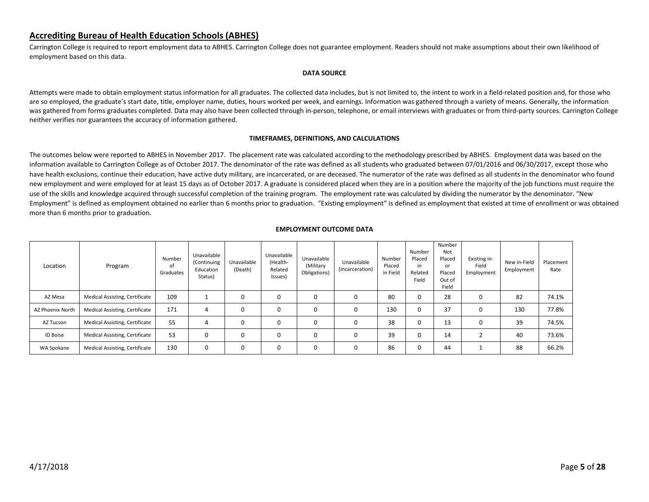## <span id="page-4-0"></span>**Accrediting Bureau of Health Education Schools (ABHES)**

Carrington College is required to report employment data to ABHES. Carrington College does not guarantee employment. Readers should not make assumptions about their own likelihood of employment based on this data.

#### **DATA SOURCE**

Attempts were made to obtain employment status information for all graduates. The collected data includes, but is not limited to, the intent to work in a field-related position and, for those who are so employed, the graduate's start date, title, employer name, duties, hours worked per week, and earnings. Information was gathered through a variety of means. Generally, the information was gathered from forms graduates completed. Data may also have been collected through in-person, telephone, or email interviews with graduates or from third-party sources. Carrington College neither verifies nor guarantees the accuracy of information gathered.

#### **TIMEFRAMES, DEFINITIONS, AND CALCULATIONS**

The outcomes below were reported to ABHES in November 2017. The placement rate was calculated according to the methodology prescribed by ABHES. Employment data was based on the information available to Carrington College as of October 2017. The denominator of the rate was defined as all students who graduated between 07/01/2016 and 06/30/2017, except those who have health exclusions, continue their education, have active duty military, are incarcerated, or are deceased. The numerator of the rate was defined as all students in the denominator who found new employment and were employed for at least 15 days as of October 2017. A graduate is considered placed when they are in a position where the majority of the job functions must require the use of the skills and knowledge acquired through successful completion of the training program. The employment rate was calculated by dividing the numerator by the denominator. "New Employment" is defined as employment obtained no earlier than 6 months prior to graduation. "Existing employment" is defined as employment that existed at time of enrollment or was obtained more than 6 months prior to graduation.

| Location         | Program                               | Number<br>of<br>Graduates | Unavailable<br>(Continuing<br>Education<br>Status) | Unavailable<br>(Death) | Unavailable<br>(Health-<br>Related<br>Issues) | Unavailable<br>(Military<br>Obligations) | Unavailable<br>(Incarceration) | Number<br>Placed<br>in Field | Number<br>Placed<br>in<br>Related<br>Field | Number<br>Not<br>Placed<br>or<br>Placed<br>Out of<br>Field | Existing in-<br>Field<br>Employment | New in-Field<br>Employment | Placement<br>Rate |
|------------------|---------------------------------------|---------------------------|----------------------------------------------------|------------------------|-----------------------------------------------|------------------------------------------|--------------------------------|------------------------------|--------------------------------------------|------------------------------------------------------------|-------------------------------------|----------------------------|-------------------|
| AZ Mesa          | Medical Assisting, Certificate        | 109                       |                                                    | 0                      | 0                                             | 0                                        | 0                              | 80                           | 0                                          | 28                                                         | 0                                   | 82                         | 74.1%             |
| AZ Phoenix North | Medical Assisting, Certificate        | 171                       | 4                                                  | 0                      | 0                                             | 0                                        | 0                              | 130                          | 0                                          | 37                                                         | 0                                   | 130                        | 77.8%             |
| AZ Tucson        | Medical Assisting, Certificate        | 55                        | 4                                                  | 0                      | 0                                             | 0                                        | 0                              | 38                           | 0                                          | 13                                                         | 0                                   | 39                         | 74.5%             |
| <b>ID Boise</b>  | Medical Assisting, Certificate        | 53                        | 0                                                  | 0                      | 0                                             | 0                                        | 0                              | 39                           | 0                                          | 14                                                         |                                     | 40                         | 73.6%             |
| WA Spokane       | <b>Medical Assisting, Certificate</b> | 130                       | 0                                                  | 0                      | 0                                             | $\Omega$                                 | 0                              | 86                           | 0                                          | 44                                                         |                                     | 88                         | 66.2%             |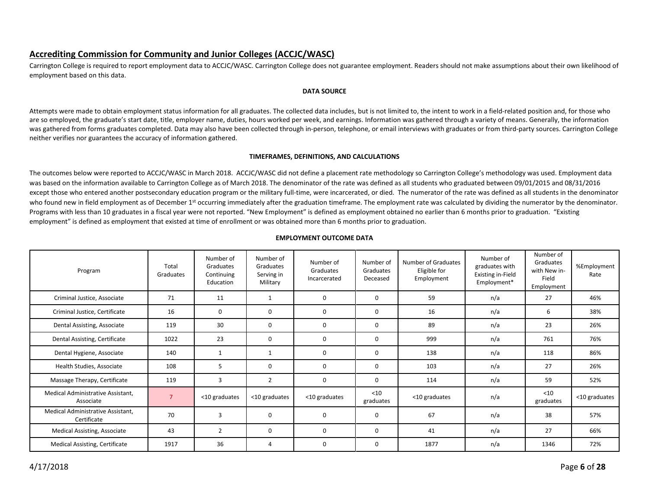## <span id="page-5-0"></span>**Accrediting Commission for Community and Junior Colleges (ACCJC/WASC)**

Carrington College is required to report employment data to ACCJC/WASC. Carrington College does not guarantee employment. Readers should not make assumptions about their own likelihood of employment based on this data.

#### **DATA SOURCE**

Attempts were made to obtain employment status information for all graduates. The collected data includes, but is not limited to, the intent to work in a field-related position and, for those who are so employed, the graduate's start date, title, employer name, duties, hours worked per week, and earnings. Information was gathered through a variety of means. Generally, the information was gathered from forms graduates completed. Data may also have been collected through in-person, telephone, or email interviews with graduates or from third-party sources. Carrington College neither verifies nor guarantees the accuracy of information gathered.

#### **TIMEFRAMES, DEFINITIONS, AND CALCULATIONS**

The outcomes below were reported to ACCJC/WASC in March 2018. ACCJC/WASC did not define a placement rate methodology so Carrington College's methodology was used. Employment data was based on the information available to Carrington College as of March 2018. The denominator of the rate was defined as all students who graduated between 09/01/2015 and 08/31/2016 except those who entered another postsecondary education program or the military full-time, were incarcerated, or died. The numerator of the rate was defined as all students in the denominator who found new in field employment as of December 1<sup>st</sup> occurring immediately after the graduation timeframe. The employment rate was calculated by dividing the numerator by the denominator. Programs with less than 10 graduates in a fiscal year were not reported. "New Employment" is defined as employment obtained no earlier than 6 months prior to graduation. "Existing employment" is defined as employment that existed at time of enrollment or was obtained more than 6 months prior to graduation.

| Program                                          | Total<br>Graduates | Number of<br>Graduates<br>Continuing<br>Education | Number of<br>Graduates<br>Serving in<br>Military | Number of<br>Graduates<br>Incarcerated | Number of<br>Graduates<br>Deceased | Number of Graduates<br>Eligible for<br>Employment | Number of<br>graduates with<br><b>Existing in-Field</b><br>Employment* | Number of<br>Graduates<br>with New in-<br>Field<br>Employment | %Employment<br>Rate |
|--------------------------------------------------|--------------------|---------------------------------------------------|--------------------------------------------------|----------------------------------------|------------------------------------|---------------------------------------------------|------------------------------------------------------------------------|---------------------------------------------------------------|---------------------|
| Criminal Justice, Associate                      | 71                 | 11                                                | $\mathbf{1}$                                     | 0                                      | 0                                  | 59                                                | n/a                                                                    | 27                                                            | 46%                 |
| Criminal Justice, Certificate                    | 16                 | 0                                                 | 0                                                | 0                                      | 0                                  | 16                                                | n/a                                                                    | 6                                                             | 38%                 |
| Dental Assisting, Associate                      | 119                | 30                                                | 0                                                | 0                                      | 0                                  | 89                                                | n/a                                                                    | 23                                                            | 26%                 |
| Dental Assisting, Certificate                    | 1022               | 23                                                | 0                                                | 0                                      | 0                                  | 999                                               | n/a                                                                    | 761                                                           | 76%                 |
| Dental Hygiene, Associate                        | 140                | $\mathbf{1}$                                      | $\mathbf{1}$                                     | 0                                      | 0                                  | 138                                               | n/a                                                                    | 118                                                           | 86%                 |
| Health Studies, Associate                        | 108                | 5                                                 | 0                                                | 0                                      | 0                                  | 103                                               | n/a                                                                    | 27                                                            | 26%                 |
| Massage Therapy, Certificate                     | 119                | $\overline{3}$                                    | $\overline{2}$                                   | 0                                      | 0                                  | 114                                               | n/a                                                                    | 59                                                            | 52%                 |
| Medical Administrative Assistant,<br>Associate   | $\overline{7}$     | <10 graduates                                     | <10 graduates                                    | <10 graduates                          | $<$ 10<br>graduates                | <10 graduates                                     | n/a                                                                    | $<$ 10<br>graduates                                           | <10 graduates       |
| Medical Administrative Assistant,<br>Certificate | 70                 | 3                                                 | 0                                                | $\mathbf 0$                            | 0                                  | 67                                                | n/a                                                                    | 38                                                            | 57%                 |
| <b>Medical Assisting, Associate</b>              | 43                 | $\overline{2}$                                    | 0                                                | 0                                      | 0                                  | 41                                                | n/a                                                                    | 27                                                            | 66%                 |
| Medical Assisting, Certificate                   | 1917               | 36                                                | 4                                                | 0                                      | 0                                  | 1877                                              | n/a                                                                    | 1346                                                          | 72%                 |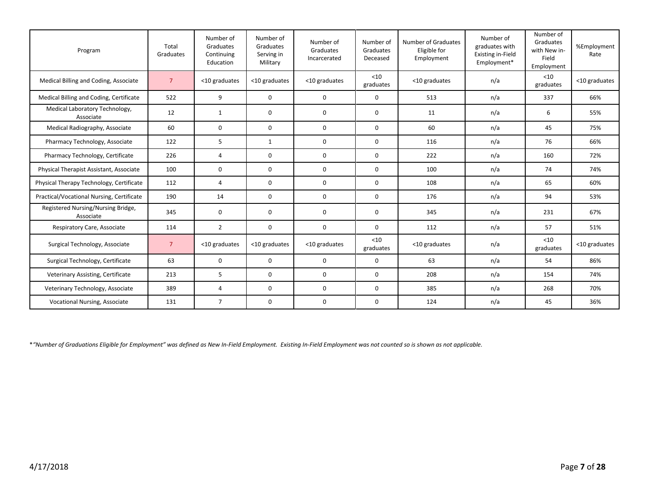| Program                                         | Total<br>Graduates | Number of<br>Graduates<br>Continuing<br>Education | Number of<br>Graduates<br>Serving in<br>Military | Number of<br>Graduates<br>Incarcerated | Number of<br>Graduates<br>Deceased | Number of Graduates<br>Eligible for<br>Employment | Number of<br>graduates with<br><b>Existing in-Field</b><br>Employment* | Number of<br>Graduates<br>with New in-<br>Field<br>Employment | %Employment<br>Rate |
|-------------------------------------------------|--------------------|---------------------------------------------------|--------------------------------------------------|----------------------------------------|------------------------------------|---------------------------------------------------|------------------------------------------------------------------------|---------------------------------------------------------------|---------------------|
| Medical Billing and Coding, Associate           | $\overline{7}$     | <10 graduates                                     | <10 graduates                                    | <10 graduates                          | $<$ 10<br>graduates                | <10 graduates                                     | n/a                                                                    | $<$ 10<br>graduates                                           | <10 graduates       |
| Medical Billing and Coding, Certificate         | 522                | 9                                                 | $\mathbf 0$                                      | 0                                      | $\mathbf 0$                        | 513                                               | n/a                                                                    | 337                                                           | 66%                 |
| Medical Laboratory Technology,<br>Associate     | 12                 | $\mathbf{1}$                                      | $\mathbf 0$                                      | 0                                      | $\mathbf 0$                        | 11                                                | n/a                                                                    | 6                                                             | 55%                 |
| Medical Radiography, Associate                  | 60                 | $\mathbf 0$                                       | $\Omega$                                         | $\Omega$                               | $\mathbf 0$                        | 60                                                | n/a                                                                    | 45                                                            | 75%                 |
| Pharmacy Technology, Associate                  | 122                | 5                                                 | $\mathbf{1}$                                     | 0                                      | 0                                  | 116                                               | n/a                                                                    | 76                                                            | 66%                 |
| Pharmacy Technology, Certificate                | 226                | $\overline{4}$                                    | 0                                                | 0                                      | 0                                  | 222                                               | n/a                                                                    | 160                                                           | 72%                 |
| Physical Therapist Assistant, Associate         | 100                | 0                                                 | $\mathbf 0$                                      | 0                                      | $\mathbf 0$                        | 100                                               | n/a                                                                    | 74                                                            | 74%                 |
| Physical Therapy Technology, Certificate        | 112                | $\overline{4}$                                    | $\mathbf 0$                                      | 0                                      | $\mathbf 0$                        | 108                                               | n/a                                                                    | 65                                                            | 60%                 |
| Practical/Vocational Nursing, Certificate       | 190                | 14                                                | 0                                                | 0                                      | 0                                  | 176                                               | n/a                                                                    | 94                                                            | 53%                 |
| Registered Nursing/Nursing Bridge,<br>Associate | 345                | 0                                                 | $\Omega$                                         | $\Omega$                               | $\Omega$                           | 345                                               | n/a                                                                    | 231                                                           | 67%                 |
| Respiratory Care, Associate                     | 114                | $\overline{2}$                                    | $\Omega$                                         | 0                                      | $\mathbf 0$                        | 112                                               | n/a                                                                    | 57                                                            | 51%                 |
| Surgical Technology, Associate                  | $7^{\circ}$        | <10 graduates                                     | <10 graduates                                    | <10 graduates                          | $<$ 10<br>graduates                | <10 graduates                                     | n/a                                                                    | $<$ 10<br>graduates                                           | <10 graduates       |
| Surgical Technology, Certificate                | 63                 | 0                                                 | $\mathbf 0$                                      | 0                                      | $\mathbf 0$                        | 63                                                | n/a                                                                    | 54                                                            | 86%                 |
| Veterinary Assisting, Certificate               | 213                | 5                                                 | $\Omega$                                         | 0                                      | $\Omega$                           | 208                                               | n/a                                                                    | 154                                                           | 74%                 |
| Veterinary Technology, Associate                | 389                | 4                                                 | $\mathbf 0$                                      | 0                                      | 0                                  | 385                                               | n/a                                                                    | 268                                                           | 70%                 |
| Vocational Nursing, Associate                   | 131                | $\overline{7}$                                    | 0                                                | 0                                      | 0                                  | 124                                               | n/a                                                                    | 45                                                            | 36%                 |

\**"Number of Graduations Eligible for Employment" was defined as New In-Field Employment. Existing In-Field Employment was not counted so is shown as not applicable.*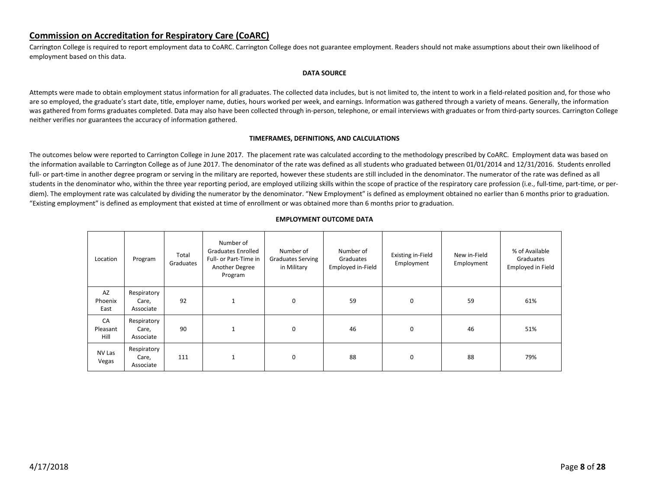## <span id="page-7-0"></span>**Commission on Accreditation for Respiratory Care (CoARC)**

Carrington College is required to report employment data to CoARC. Carrington College does not guarantee employment. Readers should not make assumptions about their own likelihood of employment based on this data.

#### **DATA SOURCE**

Attempts were made to obtain employment status information for all graduates. The collected data includes, but is not limited to, the intent to work in a field-related position and, for those who are so employed, the graduate's start date, title, employer name, duties, hours worked per week, and earnings. Information was gathered through a variety of means. Generally, the information was gathered from forms graduates completed. Data may also have been collected through in-person, telephone, or email interviews with graduates or from third-party sources. Carrington College neither verifies nor guarantees the accuracy of information gathered.

#### **TIMEFRAMES, DEFINITIONS, AND CALCULATIONS**

The outcomes below were reported to Carrington College in June 2017. The placement rate was calculated according to the methodology prescribed by CoARC. Employment data was based on the information available to Carrington College as of June 2017. The denominator of the rate was defined as all students who graduated between 01/01/2014 and 12/31/2016. Students enrolled full- or part-time in another degree program or serving in the military are reported, however these students are still included in the denominator. The numerator of the rate was defined as all students in the denominator who, within the three year reporting period, are employed utilizing skills within the scope of practice of the respiratory care profession (i.e., full-time, part-time, or perdiem). The employment rate was calculated by dividing the numerator by the denominator. "New Employment" is defined as employment obtained no earlier than 6 months prior to graduation. "Existing employment" is defined as employment that existed at time of enrollment or was obtained more than 6 months prior to graduation.

| Location               | Program                           | Total<br>Graduates | Number of<br><b>Graduates Enrolled</b><br>Full- or Part-Time in<br>Another Degree<br>Program | Number of<br><b>Graduates Serving</b><br>in Military | Number of<br>Graduates<br>Employed in-Field | Existing in-Field<br>Employment | New in-Field<br>Employment | % of Available<br>Graduates<br>Employed in Field |
|------------------------|-----------------------------------|--------------------|----------------------------------------------------------------------------------------------|------------------------------------------------------|---------------------------------------------|---------------------------------|----------------------------|--------------------------------------------------|
| AZ<br>Phoenix<br>East  | Respiratory<br>Care,<br>Associate | 92                 | $\mathbf{1}$                                                                                 | 0                                                    | 59                                          | 0                               | 59                         | 61%                                              |
| CA<br>Pleasant<br>Hill | Respiratory<br>Care,<br>Associate | 90                 | $\mathbf{1}$                                                                                 | 0                                                    | 46                                          | $\mathbf 0$                     | 46                         | 51%                                              |
| NV Las<br>Vegas        | Respiratory<br>Care,<br>Associate | 111                | $\mathbf{1}$                                                                                 | $\mathbf 0$                                          | 88                                          | $\mathbf 0$                     | 88                         | 79%                                              |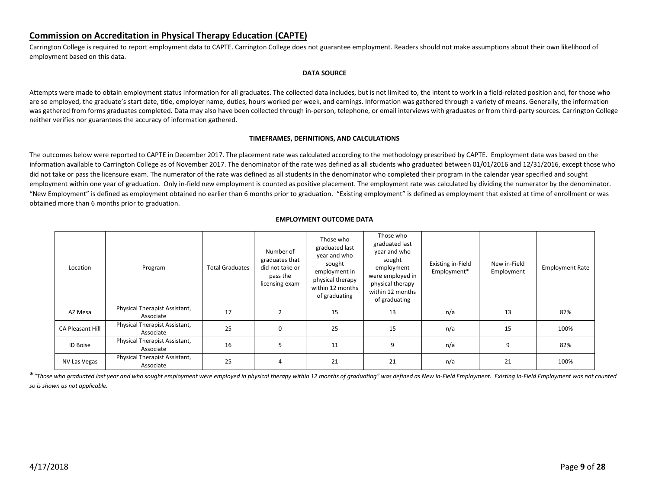## <span id="page-8-0"></span>**Commission on Accreditation in Physical Therapy Education (CAPTE)**

Carrington College is required to report employment data to CAPTE. Carrington College does not guarantee employment. Readers should not make assumptions about their own likelihood of employment based on this data.

#### **DATA SOURCE**

Attempts were made to obtain employment status information for all graduates. The collected data includes, but is not limited to, the intent to work in a field-related position and, for those who are so employed, the graduate's start date, title, employer name, duties, hours worked per week, and earnings. Information was gathered through a variety of means. Generally, the information was gathered from forms graduates completed. Data may also have been collected through in-person, telephone, or email interviews with graduates or from third-party sources. Carrington College neither verifies nor guarantees the accuracy of information gathered.

#### **TIMEFRAMES, DEFINITIONS, AND CALCULATIONS**

The outcomes below were reported to CAPTE in December 2017. The placement rate was calculated according to the methodology prescribed by CAPTE. Employment data was based on the information available to Carrington College as of November 2017. The denominator of the rate was defined as all students who graduated between 01/01/2016 and 12/31/2016, except those who did not take or pass the licensure exam. The numerator of the rate was defined as all students in the denominator who completed their program in the calendar year specified and sought employment within one year of graduation. Only in-field new employment is counted as positive placement. The employment rate was calculated by dividing the numerator by the denominator. "New Employment" is defined as employment obtained no earlier than 6 months prior to graduation. "Existing employment" is defined as employment that existed at time of enrollment or was obtained more than 6 months prior to graduation.

| <b>EMPLOYMENT OUTCOME DATA</b> |
|--------------------------------|
|--------------------------------|

| Location                | Program                                    | <b>Total Graduates</b> | Number of<br>graduates that<br>did not take or<br>pass the<br>licensing exam | Those who<br>graduated last<br>year and who<br>sought<br>employment in<br>physical therapy<br>within 12 months<br>of graduating | Those who<br>graduated last<br>year and who<br>sought<br>employment<br>were employed in<br>physical therapy<br>within 12 months<br>of graduating | Existing in-Field<br>Employment* | New in-Field<br>Employment | <b>Employment Rate</b> |
|-------------------------|--------------------------------------------|------------------------|------------------------------------------------------------------------------|---------------------------------------------------------------------------------------------------------------------------------|--------------------------------------------------------------------------------------------------------------------------------------------------|----------------------------------|----------------------------|------------------------|
| AZ Mesa                 | Physical Therapist Assistant,<br>Associate | 17                     | $\overline{2}$                                                               | 15                                                                                                                              | 13                                                                                                                                               | n/a                              | 13                         | 87%                    |
| <b>CA Pleasant Hill</b> | Physical Therapist Assistant,<br>Associate | 25                     | 0                                                                            | 25                                                                                                                              | 15                                                                                                                                               | n/a                              | 15                         | 100%                   |
| <b>ID Boise</b>         | Physical Therapist Assistant,<br>Associate | 16                     | 5                                                                            | 11                                                                                                                              | 9                                                                                                                                                | n/a                              | 9                          | 82%                    |
| NV Las Vegas            | Physical Therapist Assistant,<br>Associate | 25                     | 4                                                                            | 21                                                                                                                              | 21                                                                                                                                               | n/a                              | 21                         | 100%                   |

\**"Those who graduated last year and who sought employment were employed in physical therapy within 12 months of graduating" was defined as New In-Field Employment. Existing In-Field Employment was not counted so is shown as not applicable.*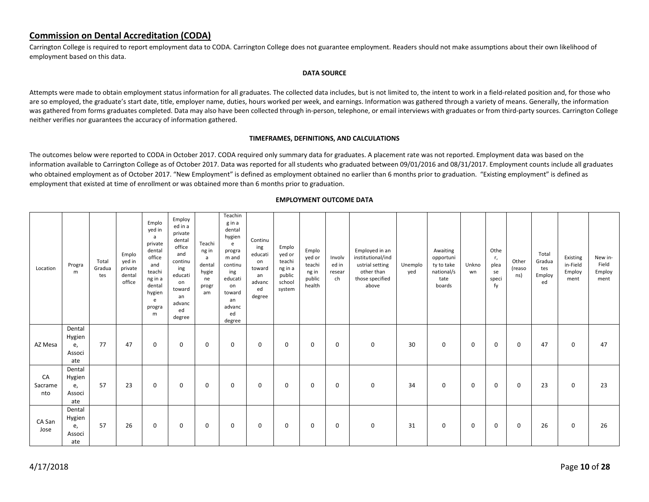## <span id="page-9-0"></span>**Commission on Dental Accreditation (CODA)**

Carrington College is required to report employment data to CODA. Carrington College does not guarantee employment. Readers should not make assumptions about their own likelihood of employment based on this data.

#### **DATA SOURCE**

Attempts were made to obtain employment status information for all graduates. The collected data includes, but is not limited to, the intent to work in a field-related position and, for those who are so employed, the graduate's start date, title, employer name, duties, hours worked per week, and earnings. Information was gathered through a variety of means. Generally, the information was gathered from forms graduates completed. Data may also have been collected through in-person, telephone, or email interviews with graduates or from third-party sources. Carrington College neither verifies nor guarantees the accuracy of information gathered.

#### **TIMEFRAMES, DEFINITIONS, AND CALCULATIONS**

The outcomes below were reported to CODA in October 2017. CODA required only summary data for graduates. A placement rate was not reported. Employment data was based on the information available to Carrington College as of October 2017. Data was reported for all students who graduated between 09/01/2016 and 08/31/2017. Employment counts include all graduates who obtained employment as of October 2017. "New Employment" is defined as employment obtained no earlier than 6 months prior to graduation. "Existing employment" is defined as employment that existed at time of enrollment or was obtained more than 6 months prior to graduation.

| Location             | Progra<br>m                             | Total<br>Gradua<br>tes | Emplo<br>yed in<br>private<br>dental<br>office | Emplo<br>yed in<br>a<br>private<br>dental<br>office<br>and<br>teachi<br>ng in a<br>dental<br>hygien<br>e<br>progra<br>m | Employ<br>ed in a<br>private<br>dental<br>office<br>and<br>continu<br>ing<br>educati<br>on<br>toward<br>an<br>advanc<br>ed<br>degree | Teachi<br>ng in<br>a<br>dental<br>hygie<br>ne<br>progr<br>am | Teachin<br>gina<br>dental<br>hygien<br>e<br>progra<br>m and<br>continu<br>ing<br>educati<br>on<br>toward<br>an<br>advanc<br>ed<br>degree | Continu<br>ing<br>educati<br>on<br>toward<br>an<br>advanc<br>ed<br>degree | Emplo<br>yed or<br>teachi<br>ng in a<br>public<br>school<br>system | Emplo<br>yed or<br>teachi<br>ng in<br>public<br>health | Involv<br>ed in<br>resear<br>ch | Employed in an<br>institutional/ind<br>ustrial setting<br>other than<br>those specified<br>above | Unemplo<br>yed | Awaiting<br>opportuni<br>ty to take<br>national/s<br>tate<br>boards | Unkno<br>wn | Othe<br>r,<br>plea<br>se<br>speci<br>fy | Other<br>(reaso<br>ns) | Total<br>Gradua<br>tes<br>Employ<br>ed | Existing<br>in-Field<br>Employ<br>ment | New in-<br>Field<br>Employ<br>ment |
|----------------------|-----------------------------------------|------------------------|------------------------------------------------|-------------------------------------------------------------------------------------------------------------------------|--------------------------------------------------------------------------------------------------------------------------------------|--------------------------------------------------------------|------------------------------------------------------------------------------------------------------------------------------------------|---------------------------------------------------------------------------|--------------------------------------------------------------------|--------------------------------------------------------|---------------------------------|--------------------------------------------------------------------------------------------------|----------------|---------------------------------------------------------------------|-------------|-----------------------------------------|------------------------|----------------------------------------|----------------------------------------|------------------------------------|
| AZ Mesa              | Dental<br>Hygien<br>e,<br>Associ<br>ate | 77                     | 47                                             | $\mathbf 0$                                                                                                             | 0                                                                                                                                    | 0                                                            | 0                                                                                                                                        | 0                                                                         | 0                                                                  | 0                                                      | 0                               | 0                                                                                                | 30             | 0                                                                   | 0           | 0                                       | 0                      | 47                                     | 0                                      | 47                                 |
| CA<br>Sacrame<br>nto | Dental<br>Hygien<br>e,<br>Associ<br>ate | 57                     | 23                                             | 0                                                                                                                       | 0                                                                                                                                    | 0                                                            | 0                                                                                                                                        | 0                                                                         | 0                                                                  | 0                                                      | 0                               | 0                                                                                                | 34             | 0                                                                   | 0           | 0                                       | 0                      | 23                                     | 0                                      | 23                                 |
| CA San<br>Jose       | Dental<br>Hygien<br>e,<br>Associ<br>ate | 57                     | 26                                             | 0                                                                                                                       | 0                                                                                                                                    | 0                                                            | 0                                                                                                                                        | 0                                                                         | 0                                                                  | 0                                                      | 0                               | 0                                                                                                | 31             | 0                                                                   | 0           | 0                                       | 0                      | 26                                     | 0                                      | 26                                 |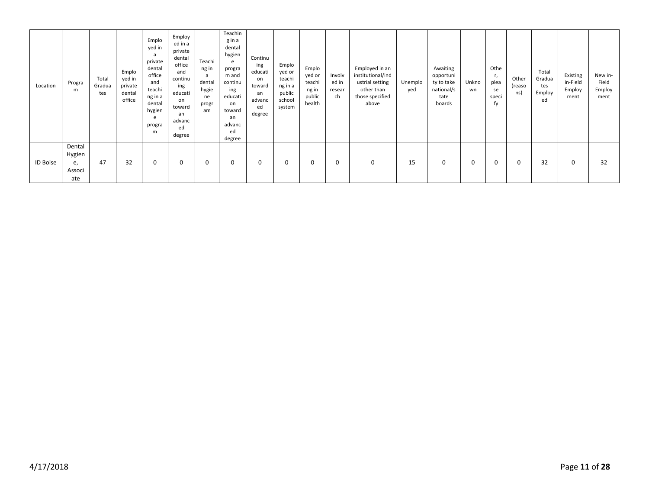| Location        | Progra<br>m                             | Total<br>Gradua<br>tes | Emplo<br>yed in<br>private<br>dental<br>office | Emplo<br>yed in<br>a<br>private<br>dental<br>office<br>and<br>teachi<br>ng in a<br>dental<br>hygien<br>e<br>progra<br>m | Employ<br>ed in a<br>private<br>dental<br>office<br>and<br>continu<br>ing<br>educati<br>on<br>toward<br>an<br>advanc<br>ed<br>degree | Teachi<br>ng in<br>a<br>dental<br>hygie<br>ne<br>progr<br>am | Teachin<br>gina<br>dental<br>hygien<br>e<br>progra<br>m and<br>continu<br>ing<br>educati<br>on<br>toward<br>an<br>advanc<br>ed<br>degree | Continu<br>ing<br>educati<br>on<br>toward<br>an<br>advanc<br>ed<br>degree | Emplo<br>yed or<br>teachi<br>ng in a<br>public<br>school<br>system | Emplo<br>yed or<br>teachi<br>ng in<br>public<br>health | Involv<br>ed in<br>resear<br>ch | Employed in an<br>institutional/ind<br>ustrial setting<br>other than<br>those specified<br>above | Unemplo<br>yed | Awaiting<br>opportuni<br>ty to take<br>national/s<br>tate<br>boards | Unkno<br>wn | Othe<br>r,<br>plea<br>se<br>speci<br>fy | Other<br>(reaso<br>ns) | Total<br>Gradua<br>tes<br>Employ<br>ed | Existing<br>in-Field<br>Employ<br>ment | New in-<br>Field<br>Employ<br>ment |
|-----------------|-----------------------------------------|------------------------|------------------------------------------------|-------------------------------------------------------------------------------------------------------------------------|--------------------------------------------------------------------------------------------------------------------------------------|--------------------------------------------------------------|------------------------------------------------------------------------------------------------------------------------------------------|---------------------------------------------------------------------------|--------------------------------------------------------------------|--------------------------------------------------------|---------------------------------|--------------------------------------------------------------------------------------------------|----------------|---------------------------------------------------------------------|-------------|-----------------------------------------|------------------------|----------------------------------------|----------------------------------------|------------------------------------|
| <b>ID Boise</b> | Dental<br>Hygien<br>e,<br>Associ<br>ate | 47                     | 32                                             |                                                                                                                         | 0                                                                                                                                    | 0                                                            | 0                                                                                                                                        | 0                                                                         | $\Omega$                                                           | 0                                                      | 0                               | 0                                                                                                | 15             | 0                                                                   | 0           | $\mathbf 0$                             | 0                      | 32                                     | 0                                      | 32                                 |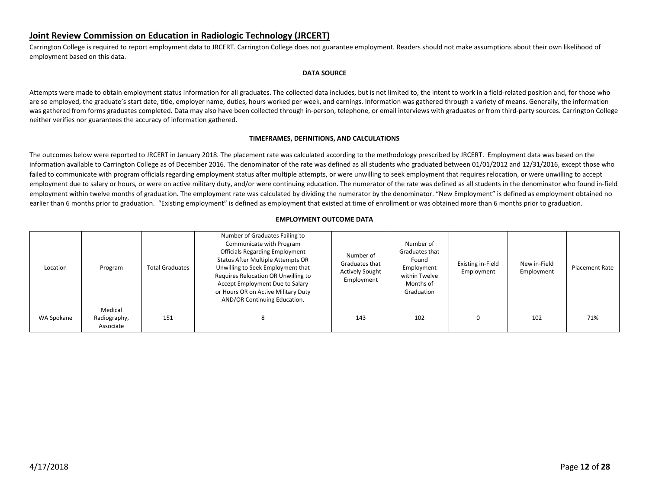## <span id="page-11-0"></span>**Joint Review Commission on Education in Radiologic Technology (JRCERT)**

Carrington College is required to report employment data to JRCERT. Carrington College does not guarantee employment. Readers should not make assumptions about their own likelihood of employment based on this data.

#### **DATA SOURCE**

Attempts were made to obtain employment status information for all graduates. The collected data includes, but is not limited to, the intent to work in a field-related position and, for those who are so employed, the graduate's start date, title, employer name, duties, hours worked per week, and earnings. Information was gathered through a variety of means. Generally, the information was gathered from forms graduates completed. Data may also have been collected through in-person, telephone, or email interviews with graduates or from third-party sources. Carrington College neither verifies nor guarantees the accuracy of information gathered.

#### **TIMEFRAMES, DEFINITIONS, AND CALCULATIONS**

The outcomes below were reported to JRCERT in January 2018. The placement rate was calculated according to the methodology prescribed by JRCERT. Employment data was based on the information available to Carrington College as of December 2016. The denominator of the rate was defined as all students who graduated between 01/01/2012 and 12/31/2016, except those who failed to communicate with program officials regarding employment status after multiple attempts, or were unwilling to seek employment that requires relocation, or were unwilling to accept employment due to salary or hours, or were on active military duty, and/or were continuing education. The numerator of the rate was defined as all students in the denominator who found in-field employment within twelve months of graduation. The employment rate was calculated by dividing the numerator by the denominator. "New Employment" is defined as employment obtained no earlier than 6 months prior to graduation. "Existing employment" is defined as employment that existed at time of enrollment or was obtained more than 6 months prior to graduation.

| Location   | Program                              | <b>Total Graduates</b> | Number of Graduates Failing to<br>Communicate with Program<br><b>Officials Regarding Employment</b><br>Status After Multiple Attempts OR<br>Unwilling to Seek Employment that<br>Requires Relocation OR Unwilling to<br>Accept Employment Due to Salary<br>or Hours OR on Active Military Duty<br>AND/OR Continuing Education. | Number of<br>Graduates that<br><b>Actively Sought</b><br>Employment | Number of<br>Graduates that<br>Found<br>Employment<br>within Twelve<br>Months of<br>Graduation | Existing in-Field<br>Employment | New in-Field<br>Employment | <b>Placement Rate</b> |
|------------|--------------------------------------|------------------------|--------------------------------------------------------------------------------------------------------------------------------------------------------------------------------------------------------------------------------------------------------------------------------------------------------------------------------|---------------------------------------------------------------------|------------------------------------------------------------------------------------------------|---------------------------------|----------------------------|-----------------------|
| WA Spokane | Medical<br>Radiography,<br>Associate | 151                    | 8                                                                                                                                                                                                                                                                                                                              | 143                                                                 | 102                                                                                            |                                 | 102                        | 71%                   |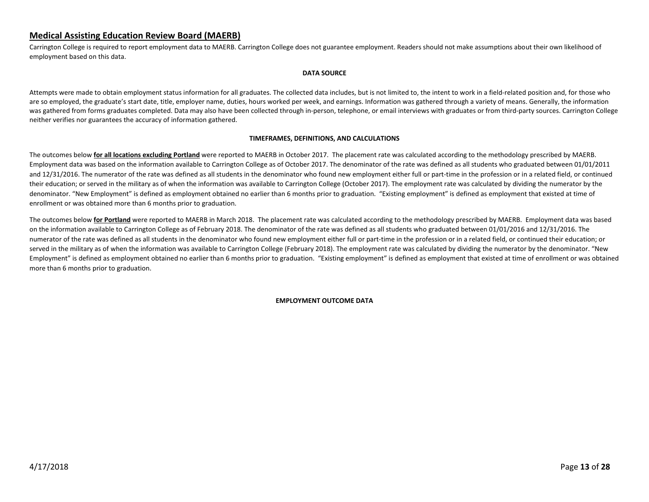## <span id="page-12-0"></span>**Medical Assisting Education Review Board (MAERB)**

Carrington College is required to report employment data to MAERB. Carrington College does not guarantee employment. Readers should not make assumptions about their own likelihood of employment based on this data.

#### **DATA SOURCE**

Attempts were made to obtain employment status information for all graduates. The collected data includes, but is not limited to, the intent to work in a field-related position and, for those who are so employed, the graduate's start date, title, employer name, duties, hours worked per week, and earnings. Information was gathered through a variety of means. Generally, the information was gathered from forms graduates completed. Data may also have been collected through in-person, telephone, or email interviews with graduates or from third-party sources. Carrington College neither verifies nor guarantees the accuracy of information gathered.

#### **TIMEFRAMES, DEFINITIONS, AND CALCULATIONS**

The outcomes below **for all locations excluding Portland** were reported to MAERB in October 2017. The placement rate was calculated according to the methodology prescribed by MAERB. Employment data was based on the information available to Carrington College as of October 2017. The denominator of the rate was defined as all students who graduated between 01/01/2011 and 12/31/2016. The numerator of the rate was defined as all students in the denominator who found new employment either full or part-time in the profession or in a related field, or continued their education; or served in the military as of when the information was available to Carrington College (October 2017). The employment rate was calculated by dividing the numerator by the denominator. "New Employment" is defined as employment obtained no earlier than 6 months prior to graduation. "Existing employment" is defined as employment that existed at time of enrollment or was obtained more than 6 months prior to graduation.

The outcomes below **for Portland** were reported to MAERB in March 2018. The placement rate was calculated according to the methodology prescribed by MAERB. Employment data was based on the information available to Carrington College as of February 2018. The denominator of the rate was defined as all students who graduated between 01/01/2016 and 12/31/2016. The numerator of the rate was defined as all students in the denominator who found new employment either full or part-time in the profession or in a related field, or continued their education; or served in the military as of when the information was available to Carrington College (February 2018). The employment rate was calculated by dividing the numerator by the denominator. "New Employment" is defined as employment obtained no earlier than 6 months prior to graduation. "Existing employment" is defined as employment that existed at time of enrollment or was obtained more than 6 months prior to graduation.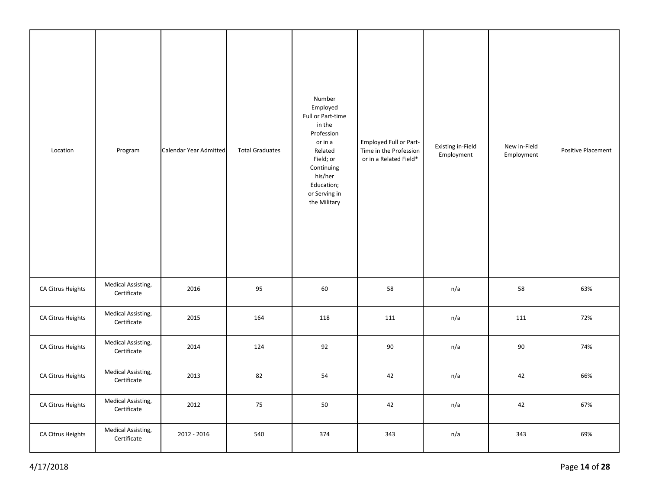| Location          | Program                                  | Calendar Year Admitted | <b>Total Graduates</b> | Number<br>Employed<br>Full or Part-time<br>in the<br>Profession<br>or in a<br>Related<br>Field; or<br>Continuing<br>his/her<br>Education;<br>or Serving in<br>the Military | Employed Full or Part-<br>Time in the Profession<br>or in a Related Field* | Existing in-Field<br>Employment | New in-Field<br>Employment | <b>Positive Placement</b> |
|-------------------|------------------------------------------|------------------------|------------------------|----------------------------------------------------------------------------------------------------------------------------------------------------------------------------|----------------------------------------------------------------------------|---------------------------------|----------------------------|---------------------------|
| CA Citrus Heights | Medical Assisting,<br>Certificate        | 2016                   | 95                     | 60                                                                                                                                                                         | 58                                                                         | n/a                             | 58                         | 63%                       |
| CA Citrus Heights | Medical Assisting,<br>Certificate        | 2015                   | 164                    | 118                                                                                                                                                                        | 111                                                                        | n/a                             | 111                        | 72%                       |
| CA Citrus Heights | Medical Assisting,<br>Certificate        | 2014                   | 124                    | 92                                                                                                                                                                         | 90                                                                         | n/a                             | 90                         | 74%                       |
| CA Citrus Heights | Medical Assisting,<br>Certificate        | 2013                   | 82                     | 54                                                                                                                                                                         | 42                                                                         | n/a                             | 42                         | 66%                       |
| CA Citrus Heights | Medical Assisting,<br>Certificate        | 2012                   | 75                     | 50                                                                                                                                                                         | 42                                                                         | n/a                             | 42                         | 67%                       |
| CA Citrus Heights | <b>Medical Assisting,</b><br>Certificate | 2012 - 2016            | 540                    | 374                                                                                                                                                                        | 343                                                                        | n/a                             | 343                        | 69%                       |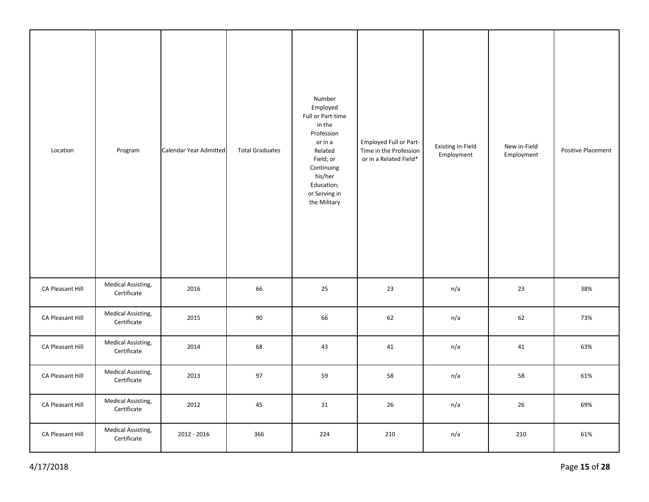| Location         | Program                           | Calendar Year Admitted | <b>Total Graduates</b> | Number<br>Employed<br>Full or Part-time<br>in the<br>Profession<br>or in a<br>Related<br>Field; or<br>Continuing<br>his/her<br>Education;<br>or Serving in<br>the Military | Employed Full or Part-<br>Time in the Profession<br>or in a Related Field* | Existing in-Field<br>Employment | New in-Field<br>Employment | <b>Positive Placement</b> |
|------------------|-----------------------------------|------------------------|------------------------|----------------------------------------------------------------------------------------------------------------------------------------------------------------------------|----------------------------------------------------------------------------|---------------------------------|----------------------------|---------------------------|
| CA Pleasant Hill | Medical Assisting,<br>Certificate | 2016                   | 66                     | 25                                                                                                                                                                         | 23                                                                         | n/a                             | 23                         | 38%                       |
| CA Pleasant Hill | Medical Assisting,<br>Certificate | 2015                   | 90                     | 66                                                                                                                                                                         | 62                                                                         | n/a                             | 62                         | 73%                       |
| CA Pleasant Hill | Medical Assisting,<br>Certificate | 2014                   | 68                     | 43                                                                                                                                                                         | 41                                                                         | n/a                             | 41                         | 63%                       |
| CA Pleasant Hill | Medical Assisting,<br>Certificate | 2013                   | 97                     | 59                                                                                                                                                                         | 58                                                                         | n/a                             | 58                         | 61%                       |
| CA Pleasant Hill | Medical Assisting,<br>Certificate | 2012                   | 45                     | 31                                                                                                                                                                         | 26                                                                         | n/a                             | 26                         | 69%                       |
| CA Pleasant Hill | Medical Assisting,<br>Certificate | 2012 - 2016            | 366                    | 224                                                                                                                                                                        | 210                                                                        | n/a                             | 210                        | 61%                       |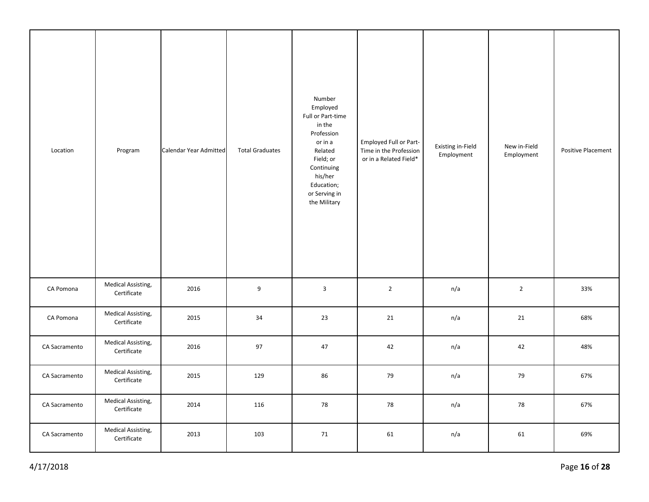| Location      | Program                           | Calendar Year Admitted | <b>Total Graduates</b> | Number<br>Employed<br>Full or Part-time<br>in the<br>Profession<br>or in a<br>Related<br>Field; or<br>Continuing<br>his/her<br>Education;<br>or Serving in<br>the Military | Employed Full or Part-<br>Time in the Profession<br>or in a Related Field* | <b>Existing in-Field</b><br>Employment | New in-Field<br>Employment | <b>Positive Placement</b> |
|---------------|-----------------------------------|------------------------|------------------------|----------------------------------------------------------------------------------------------------------------------------------------------------------------------------|----------------------------------------------------------------------------|----------------------------------------|----------------------------|---------------------------|
| CA Pomona     | Medical Assisting,<br>Certificate | 2016                   | $\boldsymbol{9}$       | $\mathbf{3}$                                                                                                                                                               | $\overline{2}$                                                             | n/a                                    | $\overline{2}$             | 33%                       |
| CA Pomona     | Medical Assisting,<br>Certificate | 2015                   | 34                     | 23                                                                                                                                                                         | 21                                                                         | n/a                                    | 21                         | 68%                       |
| CA Sacramento | Medical Assisting,<br>Certificate | 2016                   | 97                     | 47                                                                                                                                                                         | 42                                                                         | n/a                                    | 42                         | 48%                       |
| CA Sacramento | Medical Assisting,<br>Certificate | 2015                   | 129                    | 86                                                                                                                                                                         | 79                                                                         | n/a                                    | 79                         | 67%                       |
| CA Sacramento | Medical Assisting,<br>Certificate | 2014                   | 116                    | 78                                                                                                                                                                         | 78                                                                         | n/a                                    | 78                         | 67%                       |
| CA Sacramento | Medical Assisting,<br>Certificate | 2013                   | 103                    | 71                                                                                                                                                                         | 61                                                                         | n/a                                    | 61                         | 69%                       |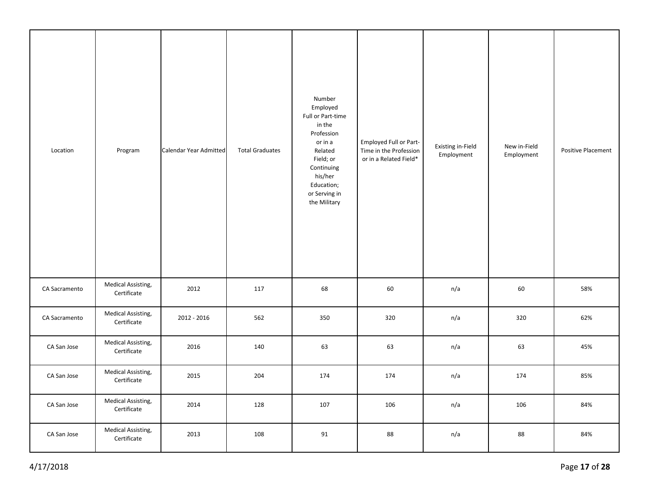| Location      | Program                           | Calendar Year Admitted | <b>Total Graduates</b> | Number<br>Employed<br>Full or Part-time<br>in the<br>Profession<br>or in a<br>Related<br>Field; or<br>Continuing<br>his/her<br>Education;<br>or Serving in<br>the Military | Employed Full or Part-<br>Time in the Profession<br>or in a Related Field* | Existing in-Field<br>Employment | New in-Field<br>Employment | Positive Placement |
|---------------|-----------------------------------|------------------------|------------------------|----------------------------------------------------------------------------------------------------------------------------------------------------------------------------|----------------------------------------------------------------------------|---------------------------------|----------------------------|--------------------|
| CA Sacramento | Medical Assisting,<br>Certificate | 2012                   | 117                    | 68                                                                                                                                                                         | 60                                                                         | n/a                             | 60                         | 58%                |
| CA Sacramento | Medical Assisting,<br>Certificate | 2012 - 2016            | 562                    | 350                                                                                                                                                                        | 320                                                                        | n/a                             | 320                        | 62%                |
| CA San Jose   | Medical Assisting,<br>Certificate | 2016                   | 140                    | 63                                                                                                                                                                         | 63                                                                         | n/a                             | 63                         | 45%                |
| CA San Jose   | Medical Assisting,<br>Certificate | 2015                   | 204                    | 174                                                                                                                                                                        | 174                                                                        | n/a                             | 174                        | 85%                |
| CA San Jose   | Medical Assisting,<br>Certificate | 2014                   | 128                    | 107                                                                                                                                                                        | 106                                                                        | n/a                             | 106                        | 84%                |
| CA San Jose   | Medical Assisting,<br>Certificate | 2013                   | 108                    | 91                                                                                                                                                                         | 88                                                                         | n/a                             | 88                         | 84%                |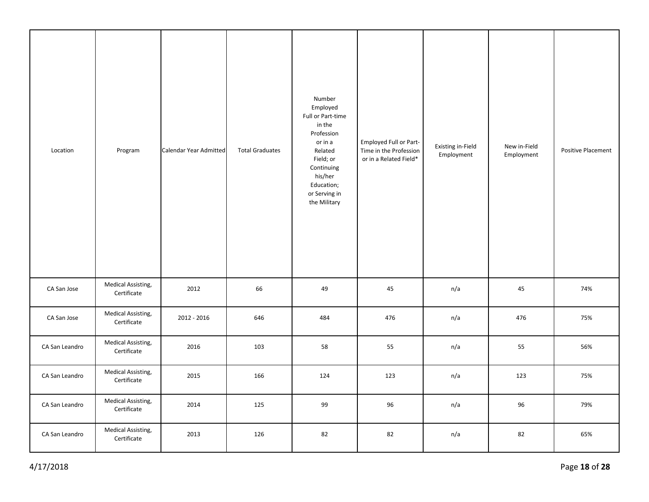| Location       | Program                           | Calendar Year Admitted | <b>Total Graduates</b> | Number<br>Employed<br>Full or Part-time<br>in the<br>Profession<br>or in a<br>Related<br>Field; or<br>Continuing<br>his/her<br>Education;<br>or Serving in<br>the Military | Employed Full or Part-<br>Time in the Profession<br>or in a Related Field* | <b>Existing in-Field</b><br>Employment | New in-Field<br>Employment | Positive Placement |
|----------------|-----------------------------------|------------------------|------------------------|----------------------------------------------------------------------------------------------------------------------------------------------------------------------------|----------------------------------------------------------------------------|----------------------------------------|----------------------------|--------------------|
| CA San Jose    | Medical Assisting,<br>Certificate | 2012                   | 66                     | 49                                                                                                                                                                         | 45                                                                         | n/a                                    | 45                         | 74%                |
| CA San Jose    | Medical Assisting,<br>Certificate | 2012 - 2016            | 646                    | 484                                                                                                                                                                        | 476                                                                        | n/a                                    | 476                        | 75%                |
| CA San Leandro | Medical Assisting,<br>Certificate | 2016                   | 103                    | 58                                                                                                                                                                         | 55                                                                         | n/a                                    | 55                         | 56%                |
| CA San Leandro | Medical Assisting,<br>Certificate | 2015                   | 166                    | 124                                                                                                                                                                        | 123                                                                        | n/a                                    | 123                        | 75%                |
| CA San Leandro | Medical Assisting,<br>Certificate | 2014                   | 125                    | 99                                                                                                                                                                         | 96                                                                         | n/a                                    | 96                         | 79%                |
| CA San Leandro | Medical Assisting,<br>Certificate | 2013                   | 126                    | 82                                                                                                                                                                         | 82                                                                         | n/a                                    | 82                         | 65%                |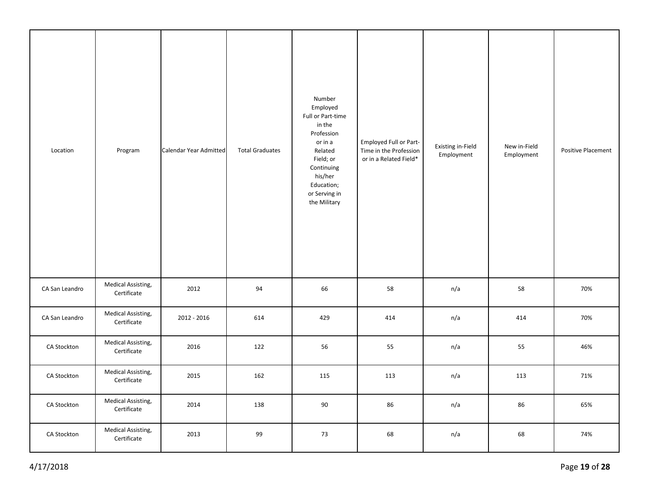| Location       | Program                           | Calendar Year Admitted | <b>Total Graduates</b> | Number<br>Employed<br>Full or Part-time<br>in the<br>Profession<br>or in a<br>Related<br>Field; or<br>Continuing<br>his/her<br>Education;<br>or Serving in<br>the Military | Employed Full or Part-<br>Time in the Profession<br>or in a Related Field* | <b>Existing in-Field</b><br>Employment | New in-Field<br>Employment | Positive Placement |
|----------------|-----------------------------------|------------------------|------------------------|----------------------------------------------------------------------------------------------------------------------------------------------------------------------------|----------------------------------------------------------------------------|----------------------------------------|----------------------------|--------------------|
| CA San Leandro | Medical Assisting,<br>Certificate | 2012                   | 94                     | 66                                                                                                                                                                         | 58                                                                         | n/a                                    | 58                         | 70%                |
| CA San Leandro | Medical Assisting,<br>Certificate | 2012 - 2016            | 614                    | 429                                                                                                                                                                        | 414                                                                        | n/a                                    | 414                        | 70%                |
| CA Stockton    | Medical Assisting,<br>Certificate | 2016                   | 122                    | 56                                                                                                                                                                         | 55                                                                         | n/a                                    | 55                         | 46%                |
| CA Stockton    | Medical Assisting,<br>Certificate | 2015                   | 162                    | 115                                                                                                                                                                        | 113                                                                        | n/a                                    | 113                        | 71%                |
| CA Stockton    | Medical Assisting,<br>Certificate | 2014                   | 138                    | 90                                                                                                                                                                         | 86                                                                         | n/a                                    | 86                         | 65%                |
| CA Stockton    | Medical Assisting,<br>Certificate | 2013                   | 99                     | 73                                                                                                                                                                         | 68                                                                         | n/a                                    | 68                         | 74%                |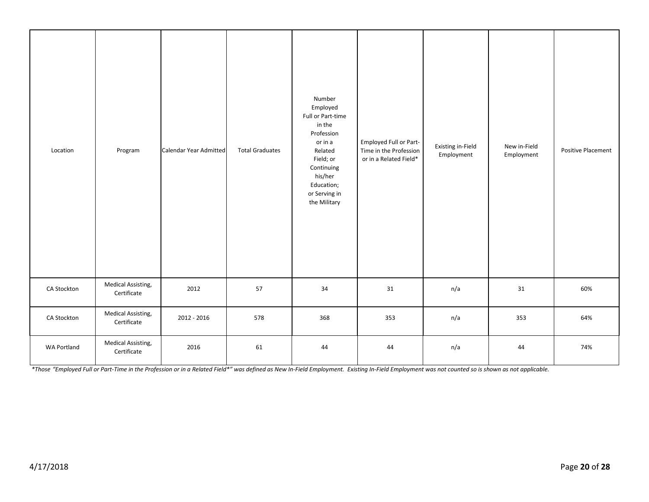| Location           | Program                                  | Calendar Year Admitted | <b>Total Graduates</b> | Number<br>Employed<br>Full or Part-time<br>in the<br>Profession<br>or in a<br>Related<br>Field; or<br>Continuing<br>his/her<br>Education;<br>or Serving in<br>the Military | Employed Full or Part-<br>Time in the Profession<br>or in a Related Field* | Existing in-Field<br>Employment | New in-Field<br>Employment | Positive Placement |
|--------------------|------------------------------------------|------------------------|------------------------|----------------------------------------------------------------------------------------------------------------------------------------------------------------------------|----------------------------------------------------------------------------|---------------------------------|----------------------------|--------------------|
| CA Stockton        | <b>Medical Assisting,</b><br>Certificate | 2012                   | 57                     | 34                                                                                                                                                                         | 31                                                                         | n/a                             | 31                         | 60%                |
| CA Stockton        | Medical Assisting,<br>Certificate        | 2012 - 2016            | 578                    | 368                                                                                                                                                                        | 353                                                                        | n/a                             | 353                        | 64%                |
| <b>WA Portland</b> | Medical Assisting,<br>Certificate        | 2016                   | 61                     | 44                                                                                                                                                                         | 44                                                                         | n/a                             | 44                         | 74%                |

*\*Those "Employed Full or Part-Time in the Profession or in a Related Field\*" was defined as New In-Field Employment. Existing In-Field Employment was not counted so is shown as not applicable.*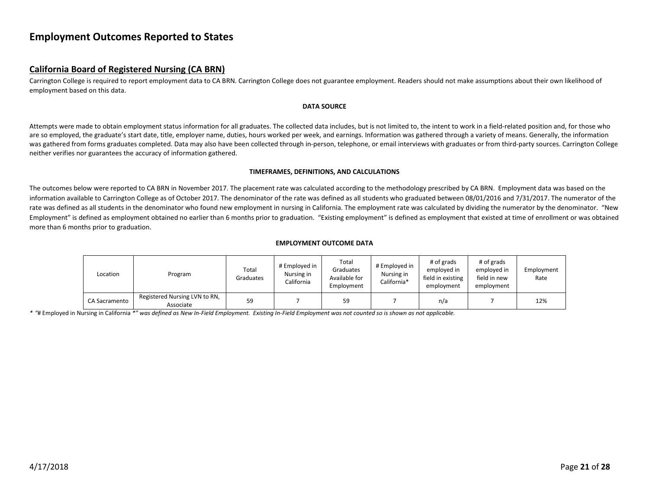## <span id="page-20-0"></span>**Employment Outcomes Reported to States**

## <span id="page-20-1"></span>**California Board of Registered Nursing (CA BRN)**

Carrington College is required to report employment data to CA BRN. Carrington College does not guarantee employment. Readers should not make assumptions about their own likelihood of employment based on this data.

#### **DATA SOURCE**

Attempts were made to obtain employment status information for all graduates. The collected data includes, but is not limited to, the intent to work in a field-related position and, for those who are so employed, the graduate's start date, title, employer name, duties, hours worked per week, and earnings. Information was gathered through a variety of means. Generally, the information was gathered from forms graduates completed. Data may also have been collected through in-person, telephone, or email interviews with graduates or from third-party sources. Carrington College neither verifies nor guarantees the accuracy of information gathered.

#### **TIMEFRAMES, DEFINITIONS, AND CALCULATIONS**

The outcomes below were reported to CA BRN in November 2017. The placement rate was calculated according to the methodology prescribed by CA BRN. Employment data was based on the information available to Carrington College as of October 2017. The denominator of the rate was defined as all students who graduated between 08/01/2016 and 7/31/2017. The numerator of the rate was defined as all students in the denominator who found new employment in nursing in California. The employment rate was calculated by dividing the numerator by the denominator. "New Employment" is defined as employment obtained no earlier than 6 months prior to graduation. "Existing employment" is defined as employment that existed at time of enrollment or was obtained more than 6 months prior to graduation.

#### **EMPLOYMENT OUTCOME DATA**

| Location      | Program                                    | Total<br>Graduates | # Employed in<br>Nursing in<br>California | Total<br>Graduates<br>Available for<br>Employment | # Employed in<br>Nursing in<br>California* | # of grads<br>emploved in<br>field in existing<br>employment | # of grads<br>employed in<br>field in new<br>employment | Employment<br>Rate |
|---------------|--------------------------------------------|--------------------|-------------------------------------------|---------------------------------------------------|--------------------------------------------|--------------------------------------------------------------|---------------------------------------------------------|--------------------|
| CA Sacramento | Registered Nursing LVN to RN,<br>Associate | 59                 |                                           | 59                                                |                                            | n/a                                                          |                                                         | 12%                |

*\* "*# Employed in Nursing in California *\*" was defined as New In-Field Employment. Existing In-Field Employment was not counted so is shown as not applicable.*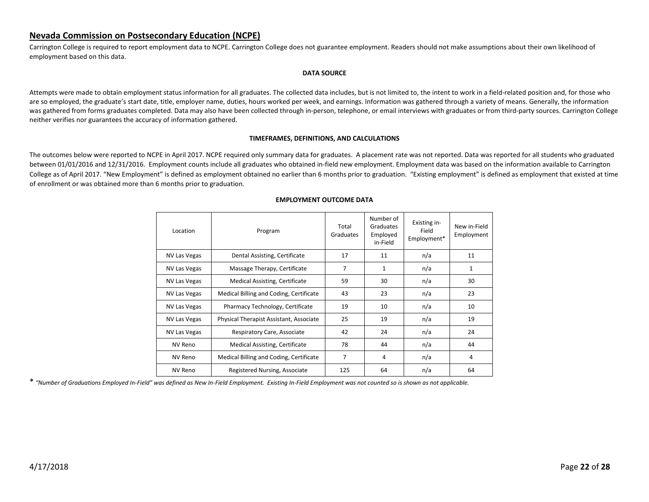## <span id="page-21-0"></span>**Nevada Commission on Postsecondary Education (NCPE)**

Carrington College is required to report employment data to NCPE. Carrington College does not guarantee employment. Readers should not make assumptions about their own likelihood of employment based on this data.

#### **DATA SOURCE**

Attempts were made to obtain employment status information for all graduates. The collected data includes, but is not limited to, the intent to work in a field-related position and, for those who are so employed, the graduate's start date, title, employer name, duties, hours worked per week, and earnings. Information was gathered through a variety of means. Generally, the information was gathered from forms graduates completed. Data may also have been collected through in-person, telephone, or email interviews with graduates or from third-party sources. Carrington College neither verifies nor guarantees the accuracy of information gathered.

#### **TIMEFRAMES, DEFINITIONS, AND CALCULATIONS**

The outcomes below were reported to NCPE in April 2017. NCPE required only summary data for graduates. A placement rate was not reported. Data was reported for all students who graduated between 01/01/2016 and 12/31/2016. Employment counts include all graduates who obtained in-field new employment. Employment data was based on the information available to Carrington College as of April 2017. "New Employment" is defined as employment obtained no earlier than 6 months prior to graduation. "Existing employment" is defined as employment that existed at time of enrollment or was obtained more than 6 months prior to graduation.

| Location            | Program                                 | Total<br>Graduates | Number of<br>Graduates<br>Employed<br>in-Field | Existing in-<br>Field<br>Employment* | New in-Field<br>Employment |
|---------------------|-----------------------------------------|--------------------|------------------------------------------------|--------------------------------------|----------------------------|
| NV Las Vegas        | Dental Assisting, Certificate           | 17                 | 11                                             | n/a                                  | 11                         |
| NV Las Vegas        | Massage Therapy, Certificate            | 7                  | $\mathbf{1}$                                   | n/a                                  | $\mathbf{1}$               |
| <b>NV Las Vegas</b> | Medical Assisting, Certificate          | 59                 | 30                                             | n/a                                  | 30                         |
| NV Las Vegas        | Medical Billing and Coding, Certificate | 43                 | 23                                             | n/a                                  | 23                         |
| NV Las Vegas        | Pharmacy Technology, Certificate        | 19                 | 10                                             | n/a                                  | 10                         |
| NV Las Vegas        | Physical Therapist Assistant, Associate | 25                 | 19                                             | n/a                                  | 19                         |
| NV Las Vegas        | Respiratory Care, Associate             | 42                 | 24                                             | n/a                                  | 24                         |
| NV Reno             | Medical Assisting, Certificate          | 78                 | 44                                             | n/a                                  | 44                         |
| <b>NV Reno</b>      | Medical Billing and Coding, Certificate | 7                  | 4                                              | n/a                                  | 4                          |
| NV Reno             | Registered Nursing, Associate           | 125                | 64                                             | n/a                                  | 64                         |

#### **EMPLOYMENT OUTCOME DATA**

\* *"Number of Graduations Employed In-Field" was defined as New In-Field Employment. Existing In-Field Employment was not counted so is shown as not applicable.*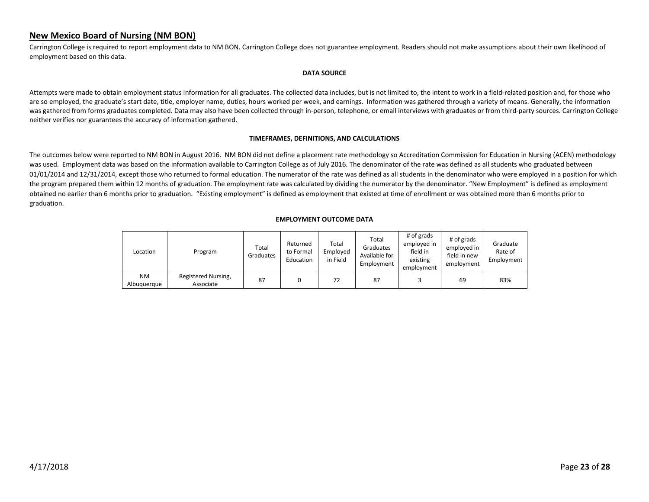## <span id="page-22-0"></span>**New Mexico Board of Nursing (NM BON)**

Carrington College is required to report employment data to NM BON. Carrington College does not guarantee employment. Readers should not make assumptions about their own likelihood of employment based on this data.

#### **DATA SOURCE**

Attempts were made to obtain employment status information for all graduates. The collected data includes, but is not limited to, the intent to work in a field-related position and, for those who are so employed, the graduate's start date, title, employer name, duties, hours worked per week, and earnings. Information was gathered through a variety of means. Generally, the information was gathered from forms graduates completed. Data may also have been collected through in-person, telephone, or email interviews with graduates or from third-party sources. Carrington College neither verifies nor guarantees the accuracy of information gathered.

#### **TIMEFRAMES, DEFINITIONS, AND CALCULATIONS**

The outcomes below were reported to NM BON in August 2016. NM BON did not define a placement rate methodology so Accreditation Commission for Education in Nursing (ACEN) methodology was used. Employment data was based on the information available to Carrington College as of July 2016. The denominator of the rate was defined as all students who graduated between 01/01/2014 and 12/31/2014, except those who returned to formal education. The numerator of the rate was defined as all students in the denominator who were employed in a position for which the program prepared them within 12 months of graduation. The employment rate was calculated by dividing the numerator by the denominator. "New Employment" is defined as employment obtained no earlier than 6 months prior to graduation. "Existing employment" is defined as employment that existed at time of enrollment or was obtained more than 6 months prior to graduation.

| Location                 | Program                          | Total<br>Graduates | Returned<br>to Formal<br>Education | Total<br>Employed<br>in Field | Total<br>Graduates<br>Available for<br>Employment | # of grads<br>employed in<br>field in<br>existing<br>employment | # of grads<br>employed in<br>field in new<br>employment | Graduate<br>Rate of<br>Employment |
|--------------------------|----------------------------------|--------------------|------------------------------------|-------------------------------|---------------------------------------------------|-----------------------------------------------------------------|---------------------------------------------------------|-----------------------------------|
| <b>NM</b><br>Albuguergue | Registered Nursing,<br>Associate | 87                 |                                    | 72                            | 87                                                |                                                                 | 69                                                      | 83%                               |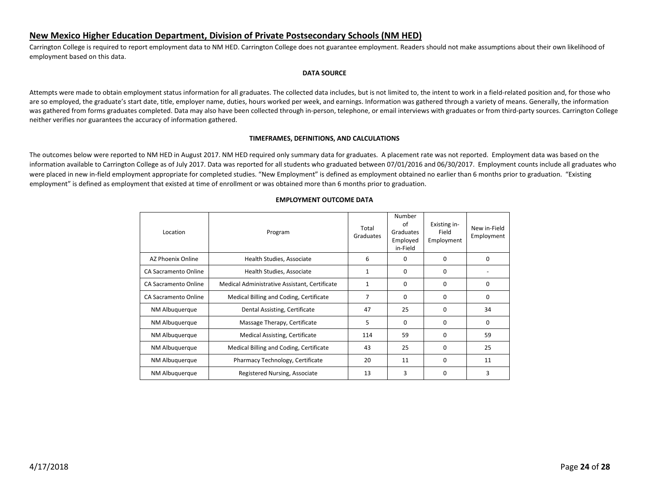## <span id="page-23-0"></span>**New Mexico Higher Education Department, Division of Private Postsecondary Schools (NM HED)**

Carrington College is required to report employment data to NM HED. Carrington College does not guarantee employment. Readers should not make assumptions about their own likelihood of employment based on this data.

#### **DATA SOURCE**

Attempts were made to obtain employment status information for all graduates. The collected data includes, but is not limited to, the intent to work in a field-related position and, for those who are so employed, the graduate's start date, title, employer name, duties, hours worked per week, and earnings. Information was gathered through a variety of means. Generally, the information was gathered from forms graduates completed. Data may also have been collected through in-person, telephone, or email interviews with graduates or from third-party sources. Carrington College neither verifies nor guarantees the accuracy of information gathered.

#### **TIMEFRAMES, DEFINITIONS, AND CALCULATIONS**

The outcomes below were reported to NM HED in August 2017. NM HED required only summary data for graduates. A placement rate was not reported. Employment data was based on the information available to Carrington College as of July 2017. Data was reported for all students who graduated between 07/01/2016 and 06/30/2017. Employment counts include all graduates who were placed in new in-field employment appropriate for completed studies. "New Employment" is defined as employment obtained no earlier than 6 months prior to graduation. "Existing employment" is defined as employment that existed at time of enrollment or was obtained more than 6 months prior to graduation.

| Location             | Program                                       | Total<br>Graduates | Number<br>οf<br>Graduates<br>Employed<br>in-Field | Existing in-<br>Field<br>Employment | New in-Field<br>Employment |
|----------------------|-----------------------------------------------|--------------------|---------------------------------------------------|-------------------------------------|----------------------------|
| AZ Phoenix Online    | Health Studies, Associate                     | 6                  | <sup>0</sup>                                      | $\Omega$                            | $\Omega$                   |
| CA Sacramento Online | Health Studies, Associate                     |                    | 0                                                 | $\Omega$                            |                            |
| CA Sacramento Online | Medical Administrative Assistant, Certificate | $\mathbf{1}$       | 0                                                 | $\Omega$                            | 0                          |
| CA Sacramento Online | Medical Billing and Coding, Certificate       | 7                  | 0                                                 | 0                                   | $\Omega$                   |
| NM Albuquerque       | Dental Assisting, Certificate                 | 47                 | 25                                                | 0                                   | 34                         |
| NM Albuguergue       | Massage Therapy, Certificate                  | 5                  | 0                                                 | $\Omega$                            | 0                          |
| NM Albuquerque       | Medical Assisting, Certificate                | 114                | 59                                                | 0                                   | 59                         |
| NM Albuguergue       | Medical Billing and Coding, Certificate       | 43                 | 25                                                | $\Omega$                            | 25                         |
| NM Albuquerque       | Pharmacy Technology, Certificate              | 20                 | 11                                                | 0                                   | 11                         |
| NM Albuquerque       | Registered Nursing, Associate                 | 13                 | 3                                                 | $\Omega$                            | 3                          |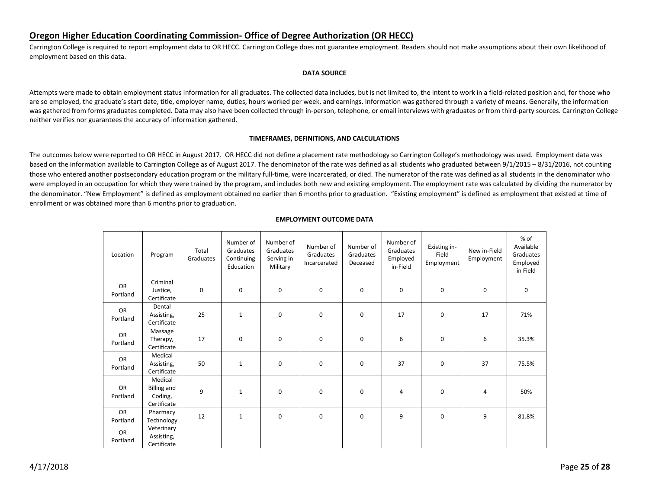## <span id="page-24-0"></span>**Oregon Higher Education Coordinating Commission- Office of Degree Authorization (OR HECC)**

Carrington College is required to report employment data to OR HECC. Carrington College does not guarantee employment. Readers should not make assumptions about their own likelihood of employment based on this data.

#### **DATA SOURCE**

Attempts were made to obtain employment status information for all graduates. The collected data includes, but is not limited to, the intent to work in a field-related position and, for those who are so employed, the graduate's start date, title, employer name, duties, hours worked per week, and earnings. Information was gathered through a variety of means. Generally, the information was gathered from forms graduates completed. Data may also have been collected through in-person, telephone, or email interviews with graduates or from third-party sources. Carrington College neither verifies nor guarantees the accuracy of information gathered.

#### **TIMEFRAMES, DEFINITIONS, AND CALCULATIONS**

The outcomes below were reported to OR HECC in August 2017. OR HECC did not define a placement rate methodology so Carrington College's methodology was used. Employment data was based on the information available to Carrington College as of August 2017. The denominator of the rate was defined as all students who graduated between 9/1/2015 – 8/31/2016, not counting those who entered another postsecondary education program or the military full-time, were incarcerated, or died. The numerator of the rate was defined as all students in the denominator who were employed in an occupation for which they were trained by the program, and includes both new and existing employment. The employment rate was calculated by dividing the numerator by the denominator. "New Employment" is defined as employment obtained no earlier than 6 months prior to graduation. "Existing employment" is defined as employment that existed at time of enrollment or was obtained more than 6 months prior to graduation.

| Location                         | Program                                                           | Total<br>Graduates | Number of<br>Graduates<br>Continuing<br>Education | Number of<br>Graduates<br>Serving in<br>Military | Number of<br>Graduates<br>Incarcerated | Number of<br>Graduates<br>Deceased | Number of<br>Graduates<br>Employed<br>in-Field | Existing in-<br>Field<br>Employment | New in-Field<br>Employment | % of<br>Available<br>Graduates<br>Employed<br>in Field |
|----------------------------------|-------------------------------------------------------------------|--------------------|---------------------------------------------------|--------------------------------------------------|----------------------------------------|------------------------------------|------------------------------------------------|-------------------------------------|----------------------------|--------------------------------------------------------|
| OR<br>Portland                   | Criminal<br>Justice,<br>Certificate                               | $\mathbf 0$        | 0                                                 | 0                                                | $\mathbf 0$                            | $\mathsf 0$                        | 0                                              | $\mathbf 0$                         | 0                          | 0                                                      |
| OR<br>Portland                   | Dental<br>Assisting,<br>Certificate                               | 25                 | $\mathbf{1}$                                      | $\mathbf 0$                                      | $\mathbf 0$                            | 0                                  | 17                                             | $\mathbf 0$                         | 17                         | 71%                                                    |
| OR<br>Portland                   | Massage<br>Therapy,<br>Certificate                                | 17                 | 0                                                 | 0                                                | $\mathbf 0$                            | 0                                  | 6                                              | $\mathbf 0$                         | 6                          | 35.3%                                                  |
| <b>OR</b><br>Portland            | Medical<br>Assisting,<br>Certificate                              | 50                 | $\mathbf{1}$                                      | 0                                                | $\mathbf 0$                            | 0                                  | 37                                             | $\mathbf 0$                         | 37                         | 75.5%                                                  |
| OR<br>Portland                   | Medical<br><b>Billing and</b><br>Coding,<br>Certificate           | 9                  | $\mathbf{1}$                                      | 0                                                | $\mathbf 0$                            | 0                                  | 4                                              | $\mathbf 0$                         | 4                          | 50%                                                    |
| OR<br>Portland<br>OR<br>Portland | Pharmacy<br>Technology<br>Veterinary<br>Assisting,<br>Certificate | 12                 | $\mathbf{1}$                                      | $\mathbf 0$                                      | $\mathbf 0$                            | 0                                  | 9                                              | $\mathbf 0$                         | 9                          | 81.8%                                                  |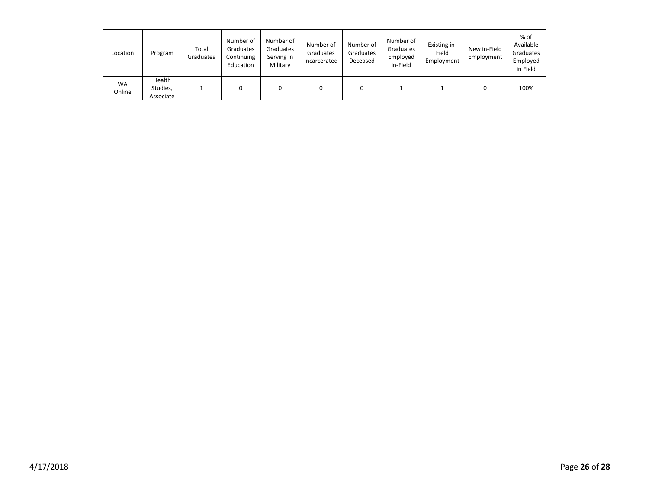| Location            | Program                         | Total<br>Graduates | Number of<br>Graduates<br>Continuing<br>Education | Number of<br>Graduates<br>Serving in<br>Military | Number of<br>Graduates<br>Incarcerated | Number of<br>Graduates<br>Deceased | Number of<br>Graduates<br>Employed<br>in-Field | Existing in-<br>Field<br>Employment | New in-Field<br>Employment | % of<br>Available<br>Graduates<br>Employed<br>in Field |
|---------------------|---------------------------------|--------------------|---------------------------------------------------|--------------------------------------------------|----------------------------------------|------------------------------------|------------------------------------------------|-------------------------------------|----------------------------|--------------------------------------------------------|
| <b>WA</b><br>Online | Health<br>Studies,<br>Associate |                    |                                                   | 0                                                |                                        |                                    |                                                |                                     |                            | 100%                                                   |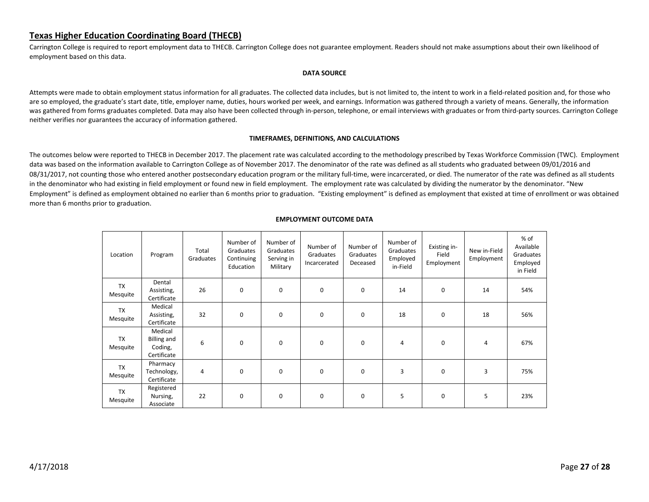## <span id="page-26-0"></span>**Texas Higher Education Coordinating Board (THECB)**

Carrington College is required to report employment data to THECB. Carrington College does not guarantee employment. Readers should not make assumptions about their own likelihood of employment based on this data.

#### **DATA SOURCE**

Attempts were made to obtain employment status information for all graduates. The collected data includes, but is not limited to, the intent to work in a field-related position and, for those who are so employed, the graduate's start date, title, employer name, duties, hours worked per week, and earnings. Information was gathered through a variety of means. Generally, the information was gathered from forms graduates completed. Data may also have been collected through in-person, telephone, or email interviews with graduates or from third-party sources. Carrington College neither verifies nor guarantees the accuracy of information gathered.

#### **TIMEFRAMES, DEFINITIONS, AND CALCULATIONS**

The outcomes below were reported to THECB in December 2017. The placement rate was calculated according to the methodology prescribed by Texas Workforce Commission (TWC). Employment data was based on the information available to Carrington College as of November 2017. The denominator of the rate was defined as all students who graduated between 09/01/2016 and 08/31/2017, not counting those who entered another postsecondary education program or the military full-time, were incarcerated, or died. The numerator of the rate was defined as all students in the denominator who had existing in field employment or found new in field employment. The employment rate was calculated by dividing the numerator by the denominator. "New Employment" is defined as employment obtained no earlier than 6 months prior to graduation. "Existing employment" is defined as employment that existed at time of enrollment or was obtained more than 6 months prior to graduation.

| Location              | Program                                                 | Total<br>Graduates | Number of<br>Graduates<br>Continuing<br>Education | Number of<br>Graduates<br>Serving in<br>Military | Number of<br>Graduates<br>Incarcerated | Number of<br>Graduates<br>Deceased | Number of<br>Graduates<br>Employed<br>in-Field | Existing in-<br>Field<br>Employment | New in-Field<br>Employment | % of<br>Available<br>Graduates<br>Employed<br>in Field |
|-----------------------|---------------------------------------------------------|--------------------|---------------------------------------------------|--------------------------------------------------|----------------------------------------|------------------------------------|------------------------------------------------|-------------------------------------|----------------------------|--------------------------------------------------------|
| <b>TX</b><br>Mesquite | Dental<br>Assisting,<br>Certificate                     | 26                 | $\mathbf 0$                                       | 0                                                | 0                                      | 0                                  | 14                                             | 0                                   | 14                         | 54%                                                    |
| <b>TX</b><br>Mesquite | Medical<br>Assisting,<br>Certificate                    | 32                 | 0                                                 | 0                                                | 0                                      | 0                                  | 18                                             | 0                                   | 18                         | 56%                                                    |
| <b>TX</b><br>Mesquite | Medical<br><b>Billing and</b><br>Coding,<br>Certificate | 6                  | $\mathbf 0$                                       | 0                                                | 0                                      | 0                                  | 4                                              | 0                                   | 4                          | 67%                                                    |
| <b>TX</b><br>Mesquite | Pharmacy<br>Technology,<br>Certificate                  | 4                  | $\mathbf 0$                                       | 0                                                | 0                                      | 0                                  | 3                                              | $\mathbf 0$                         | 3                          | 75%                                                    |
| <b>TX</b><br>Mesquite | Registered<br>Nursing,<br>Associate                     | 22                 | 0                                                 | 0                                                | 0                                      | 0                                  | 5                                              | 0                                   | 5                          | 23%                                                    |